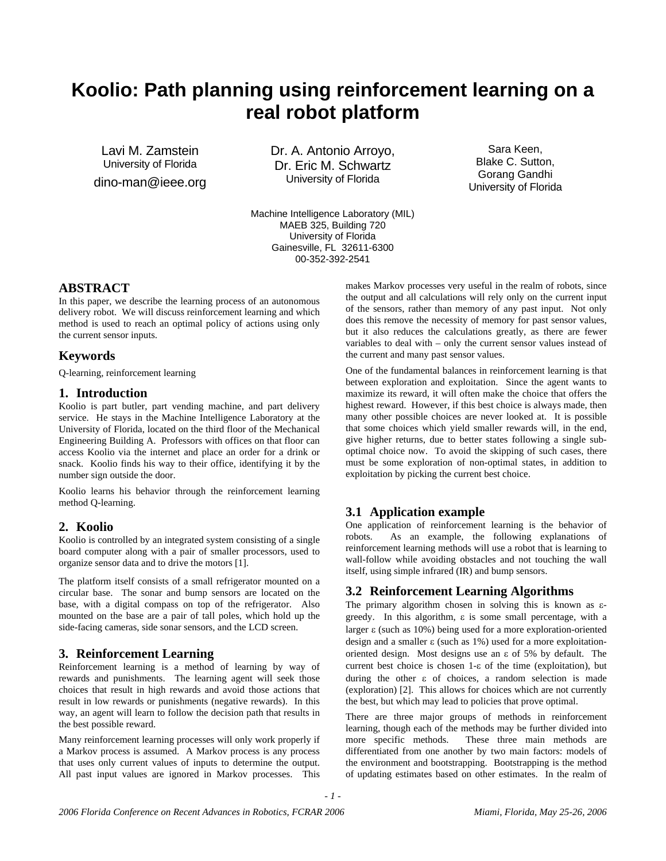# **Koolio: Path planning using reinforcement learning on a real robot platform**

Lavi M. Zamstein University of Florida dino-man@ieee.org Dr. A. Antonio Arroyo, Dr. Eric M. Schwartz University of Florida

Machine Intelligence Laboratory (MIL) MAEB 325, Building 720 University of Florida Gainesville, FL 32611-6300 00-352-392-2541

# **ABSTRACT**

In this paper, we describe the learning process of an autonomous delivery robot. We will discuss reinforcement learning and which method is used to reach an optimal policy of actions using only the current sensor inputs.

## **Keywords**

Q-learning, reinforcement learning

### **1. Introduction**

Koolio is part butler, part vending machine, and part delivery service. He stays in the Machine Intelligence Laboratory at the University of Florida, located on the third floor of the Mechanical Engineering Building A. Professors with offices on that floor can access Koolio via the internet and place an order for a drink or snack. Koolio finds his way to their office, identifying it by the number sign outside the door.

Koolio learns his behavior through the reinforcement learning method Q-learning.

# **2. Koolio**

Koolio is controlled by an integrated system consisting of a single board computer along with a pair of smaller processors, used to organize sensor data and to drive the motors [1].

The platform itself consists of a small refrigerator mounted on a circular base. The sonar and bump sensors are located on the base, with a digital compass on top of the refrigerator. Also mounted on the base are a pair of tall poles, which hold up the side-facing cameras, side sonar sensors, and the LCD screen.

# **3. Reinforcement Learning**

Reinforcement learning is a method of learning by way of rewards and punishments. The learning agent will seek those choices that result in high rewards and avoid those actions that result in low rewards or punishments (negative rewards). In this way, an agent will learn to follow the decision path that results in the best possible reward.

Many reinforcement learning processes will only work properly if a Markov process is assumed. A Markov process is any process that uses only current values of inputs to determine the output. All past input values are ignored in Markov processes. This

makes Markov processes very useful in the realm of robots, since the output and all calculations will rely only on the current input of the sensors, rather than memory of any past input. Not only does this remove the necessity of memory for past sensor values, but it also reduces the calculations greatly, as there are fewer variables to deal with – only the current sensor values instead of the current and many past sensor values.

Sara Keen, Blake C. Sutton, Gorang Gandhi University of Florida

One of the fundamental balances in reinforcement learning is that between exploration and exploitation. Since the agent wants to maximize its reward, it will often make the choice that offers the highest reward. However, if this best choice is always made, then many other possible choices are never looked at. It is possible that some choices which yield smaller rewards will, in the end, give higher returns, due to better states following a single suboptimal choice now. To avoid the skipping of such cases, there must be some exploration of non-optimal states, in addition to exploitation by picking the current best choice.

# **3.1 Application example**

One application of reinforcement learning is the behavior of robots. As an example, the following explanations of reinforcement learning methods will use a robot that is learning to wall-follow while avoiding obstacles and not touching the wall itself, using simple infrared (IR) and bump sensors.

## **3.2 Reinforcement Learning Algorithms**

The primary algorithm chosen in solving this is known as εgreedy. In this algorithm, ε is some small percentage, with a larger ε (such as 10%) being used for a more exploration-oriented design and a smaller ε (such as 1%) used for a more exploitationoriented design. Most designs use an ε of 5% by default. The current best choice is chosen 1-ε of the time (exploitation), but during the other ε of choices, a random selection is made (exploration) [2]. This allows for choices which are not currently the best, but which may lead to policies that prove optimal.

There are three major groups of methods in reinforcement learning, though each of the methods may be further divided into more specific methods. These three main methods are differentiated from one another by two main factors: models of the environment and bootstrapping. Bootstrapping is the method of updating estimates based on other estimates. In the realm of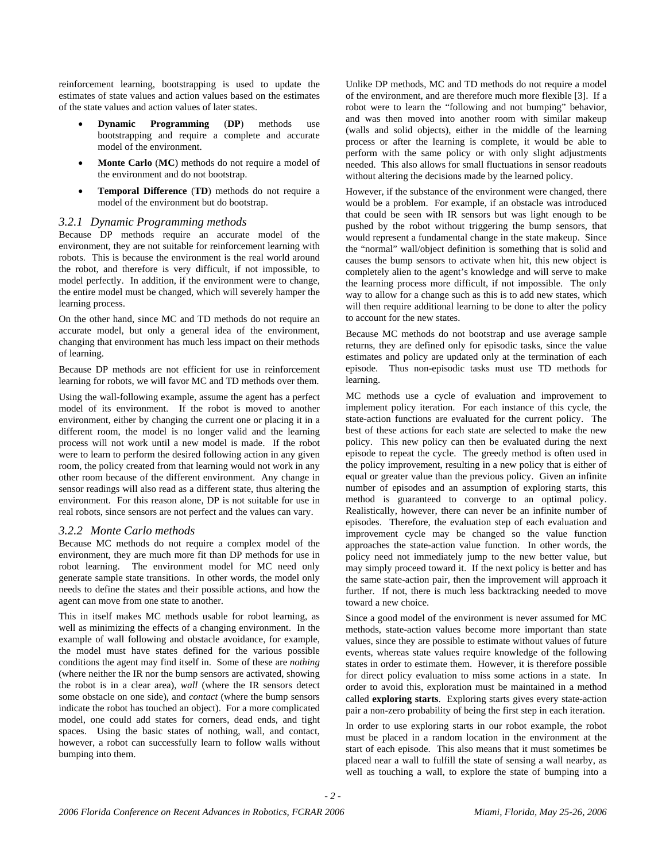reinforcement learning, bootstrapping is used to update the estimates of state values and action values based on the estimates of the state values and action values of later states.

- **Dynamic Programming** (**DP**) methods use bootstrapping and require a complete and accurate model of the environment.
- **Monte Carlo** (**MC**) methods do not require a model of the environment and do not bootstrap.
- **Temporal Difference** (**TD**) methods do not require a model of the environment but do bootstrap.

#### *3.2.1 Dynamic Programming methods*

Because DP methods require an accurate model of the environment, they are not suitable for reinforcement learning with robots. This is because the environment is the real world around the robot, and therefore is very difficult, if not impossible, to model perfectly. In addition, if the environment were to change, the entire model must be changed, which will severely hamper the learning process.

On the other hand, since MC and TD methods do not require an accurate model, but only a general idea of the environment, changing that environment has much less impact on their methods of learning.

Because DP methods are not efficient for use in reinforcement learning for robots, we will favor MC and TD methods over them.

Using the wall-following example, assume the agent has a perfect model of its environment. If the robot is moved to another environment, either by changing the current one or placing it in a different room, the model is no longer valid and the learning process will not work until a new model is made. If the robot were to learn to perform the desired following action in any given room, the policy created from that learning would not work in any other room because of the different environment. Any change in sensor readings will also read as a different state, thus altering the environment. For this reason alone, DP is not suitable for use in real robots, since sensors are not perfect and the values can vary.

#### *3.2.2 Monte Carlo methods*

Because MC methods do not require a complex model of the environment, they are much more fit than DP methods for use in robot learning. The environment model for MC need only generate sample state transitions. In other words, the model only needs to define the states and their possible actions, and how the agent can move from one state to another.

This in itself makes MC methods usable for robot learning, as well as minimizing the effects of a changing environment. In the example of wall following and obstacle avoidance, for example, the model must have states defined for the various possible conditions the agent may find itself in. Some of these are *nothing* (where neither the IR nor the bump sensors are activated, showing the robot is in a clear area), *wall* (where the IR sensors detect some obstacle on one side), and *contact* (where the bump sensors indicate the robot has touched an object). For a more complicated model, one could add states for corners, dead ends, and tight spaces. Using the basic states of nothing, wall, and contact, however, a robot can successfully learn to follow walls without bumping into them.

Unlike DP methods, MC and TD methods do not require a model of the environment, and are therefore much more flexible [3]. If a robot were to learn the "following and not bumping" behavior, and was then moved into another room with similar makeup (walls and solid objects), either in the middle of the learning process or after the learning is complete, it would be able to perform with the same policy or with only slight adjustments needed. This also allows for small fluctuations in sensor readouts without altering the decisions made by the learned policy.

However, if the substance of the environment were changed, there would be a problem. For example, if an obstacle was introduced that could be seen with IR sensors but was light enough to be pushed by the robot without triggering the bump sensors, that would represent a fundamental change in the state makeup. Since the "normal" wall/object definition is something that is solid and causes the bump sensors to activate when hit, this new object is completely alien to the agent's knowledge and will serve to make the learning process more difficult, if not impossible. The only way to allow for a change such as this is to add new states, which will then require additional learning to be done to alter the policy to account for the new states.

Because MC methods do not bootstrap and use average sample returns, they are defined only for episodic tasks, since the value estimates and policy are updated only at the termination of each episode. Thus non-episodic tasks must use TD methods for learning.

MC methods use a cycle of evaluation and improvement to implement policy iteration. For each instance of this cycle, the state-action functions are evaluated for the current policy. The best of these actions for each state are selected to make the new policy. This new policy can then be evaluated during the next episode to repeat the cycle. The greedy method is often used in the policy improvement, resulting in a new policy that is either of equal or greater value than the previous policy. Given an infinite number of episodes and an assumption of exploring starts, this method is guaranteed to converge to an optimal policy. Realistically, however, there can never be an infinite number of episodes. Therefore, the evaluation step of each evaluation and improvement cycle may be changed so the value function approaches the state-action value function. In other words, the policy need not immediately jump to the new better value, but may simply proceed toward it. If the next policy is better and has the same state-action pair, then the improvement will approach it further. If not, there is much less backtracking needed to move toward a new choice.

Since a good model of the environment is never assumed for MC methods, state-action values become more important than state values, since they are possible to estimate without values of future events, whereas state values require knowledge of the following states in order to estimate them. However, it is therefore possible for direct policy evaluation to miss some actions in a state. In order to avoid this, exploration must be maintained in a method called **exploring starts**. Exploring starts gives every state-action pair a non-zero probability of being the first step in each iteration.

In order to use exploring starts in our robot example, the robot must be placed in a random location in the environment at the start of each episode. This also means that it must sometimes be placed near a wall to fulfill the state of sensing a wall nearby, as well as touching a wall, to explore the state of bumping into a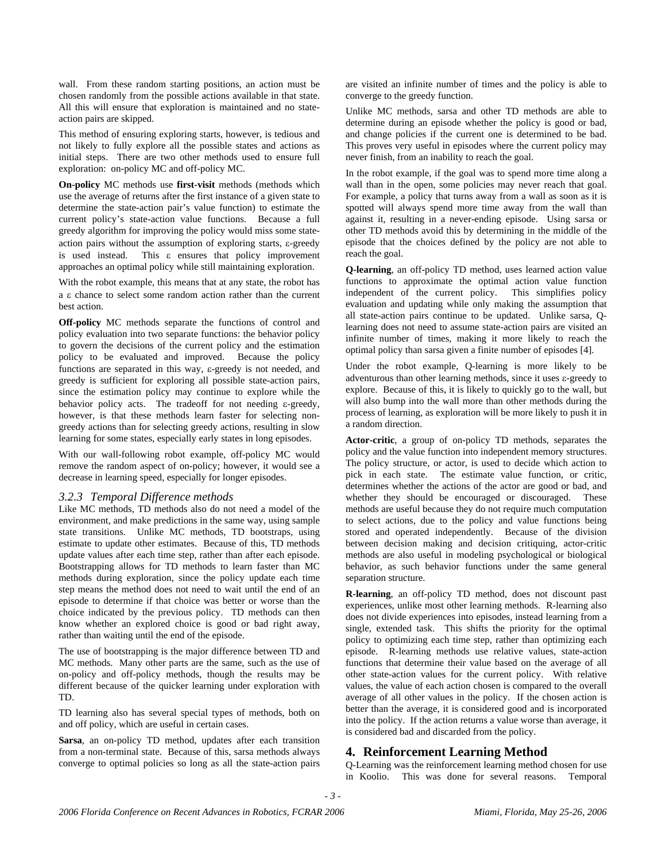wall. From these random starting positions, an action must be chosen randomly from the possible actions available in that state. All this will ensure that exploration is maintained and no stateaction pairs are skipped.

This method of ensuring exploring starts, however, is tedious and not likely to fully explore all the possible states and actions as initial steps. There are two other methods used to ensure full exploration: on-policy MC and off-policy MC.

**On-policy** MC methods use **first-visit** methods (methods which use the average of returns after the first instance of a given state to determine the state-action pair's value function) to estimate the current policy's state-action value functions. Because a full greedy algorithm for improving the policy would miss some stateaction pairs without the assumption of exploring starts, ε-greedy is used instead. This ε ensures that policy improvement approaches an optimal policy while still maintaining exploration.

With the robot example, this means that at any state, the robot has a ε chance to select some random action rather than the current best action.

**Off-policy** MC methods separate the functions of control and policy evaluation into two separate functions: the behavior policy to govern the decisions of the current policy and the estimation policy to be evaluated and improved. Because the policy functions are separated in this way, ε-greedy is not needed, and greedy is sufficient for exploring all possible state-action pairs, since the estimation policy may continue to explore while the behavior policy acts. The tradeoff for not needing ε-greedy, however, is that these methods learn faster for selecting nongreedy actions than for selecting greedy actions, resulting in slow learning for some states, especially early states in long episodes.

With our wall-following robot example, off-policy MC would remove the random aspect of on-policy; however, it would see a decrease in learning speed, especially for longer episodes.

#### *3.2.3 Temporal Difference methods*

Like MC methods, TD methods also do not need a model of the environment, and make predictions in the same way, using sample state transitions. Unlike MC methods, TD bootstraps, using estimate to update other estimates. Because of this, TD methods update values after each time step, rather than after each episode. Bootstrapping allows for TD methods to learn faster than MC methods during exploration, since the policy update each time step means the method does not need to wait until the end of an episode to determine if that choice was better or worse than the choice indicated by the previous policy. TD methods can then know whether an explored choice is good or bad right away, rather than waiting until the end of the episode.

The use of bootstrapping is the major difference between TD and MC methods. Many other parts are the same, such as the use of on-policy and off-policy methods, though the results may be different because of the quicker learning under exploration with TD.

TD learning also has several special types of methods, both on and off policy, which are useful in certain cases.

**Sarsa**, an on-policy TD method, updates after each transition from a non-terminal state. Because of this, sarsa methods always converge to optimal policies so long as all the state-action pairs

are visited an infinite number of times and the policy is able to converge to the greedy function.

Unlike MC methods, sarsa and other TD methods are able to determine during an episode whether the policy is good or bad, and change policies if the current one is determined to be bad. This proves very useful in episodes where the current policy may never finish, from an inability to reach the goal.

In the robot example, if the goal was to spend more time along a wall than in the open, some policies may never reach that goal. For example, a policy that turns away from a wall as soon as it is spotted will always spend more time away from the wall than against it, resulting in a never-ending episode. Using sarsa or other TD methods avoid this by determining in the middle of the episode that the choices defined by the policy are not able to reach the goal.

**Q-learning**, an off-policy TD method, uses learned action value functions to approximate the optimal action value function independent of the current policy. This simplifies policy evaluation and updating while only making the assumption that all state-action pairs continue to be updated. Unlike sarsa, Qlearning does not need to assume state-action pairs are visited an infinite number of times, making it more likely to reach the optimal policy than sarsa given a finite number of episodes [4].

Under the robot example, Q-learning is more likely to be adventurous than other learning methods, since it uses ε-greedy to explore. Because of this, it is likely to quickly go to the wall, but will also bump into the wall more than other methods during the process of learning, as exploration will be more likely to push it in a random direction.

**Actor-critic**, a group of on-policy TD methods, separates the policy and the value function into independent memory structures. The policy structure, or actor, is used to decide which action to pick in each state. The estimate value function, or critic, determines whether the actions of the actor are good or bad, and whether they should be encouraged or discouraged. These methods are useful because they do not require much computation to select actions, due to the policy and value functions being stored and operated independently. Because of the division between decision making and decision critiquing, actor-critic methods are also useful in modeling psychological or biological behavior, as such behavior functions under the same general separation structure.

**R-learning**, an off-policy TD method, does not discount past experiences, unlike most other learning methods. R-learning also does not divide experiences into episodes, instead learning from a single, extended task. This shifts the priority for the optimal policy to optimizing each time step, rather than optimizing each episode. R-learning methods use relative values, state-action functions that determine their value based on the average of all other state-action values for the current policy. With relative values, the value of each action chosen is compared to the overall average of all other values in the policy. If the chosen action is better than the average, it is considered good and is incorporated into the policy. If the action returns a value worse than average, it is considered bad and discarded from the policy.

## **4. Reinforcement Learning Method**

Q-Learning was the reinforcement learning method chosen for use in Koolio. This was done for several reasons. Temporal